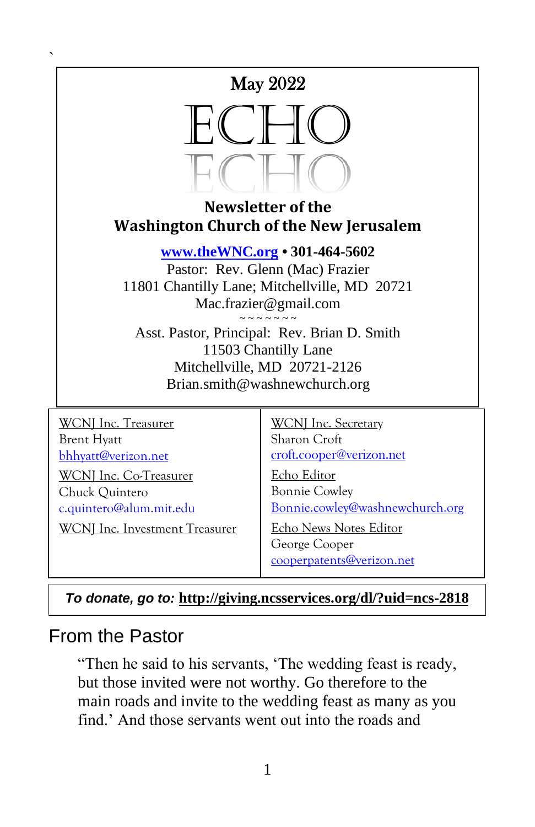

**Newsletter of the Washington Church of the New Jerusalem**

**[www.theWNC.org](http://www.thewnc.org/) • 301-464-5602**

Pastor: Rev. Glenn (Mac) Frazier 11801 Chantilly Lane; Mitchellville, MD 20721 Mac.frazier@gmail.com  $\sim$   $\sim$   $\sim$   $\sim$   $\sim$   $\sim$   $\sim$ 

Asst. Pastor, Principal: Rev. Brian D. Smith 11503 Chantilly Lane Mitchellville, MD 20721-2126 Brian.smith@washnewchurch.org

WCNJ Inc. Treasurer Brent Hyatt [bhhyatt@verizon.net](mailto:bhhyatt@verizon.net) WCNJ Inc. Co-Treasurer Chuck Quintero c.quintero@alum.mit.edu

 $\ddot{\phantom{0}}$ 

WCNJ Inc. Investment Treasurer

WCNJ Inc. Secretary Sharon Croft [croft.cooper@verizon.net](mailto:croft.cooper@verizon.net)

Echo Editor Bonnie Cowley [Bonnie.cowley@washnewchurch.org](mailto:Bonnie.cowley@washnewchurch.org)

Echo News Notes Editor George Cooper [cooperpatents@verizon.net](mailto:cooperpatents@verizon.net)

*To donate, go to:* **<http://giving.ncsservices.org/dl/?uid=ncs-2818>**

### From the Pastor

"Then he said to his servants, 'The wedding feast is ready, but those invited were not worthy. Go therefore to the main roads and invite to the wedding feast as many as you find.' And those servants went out into the roads and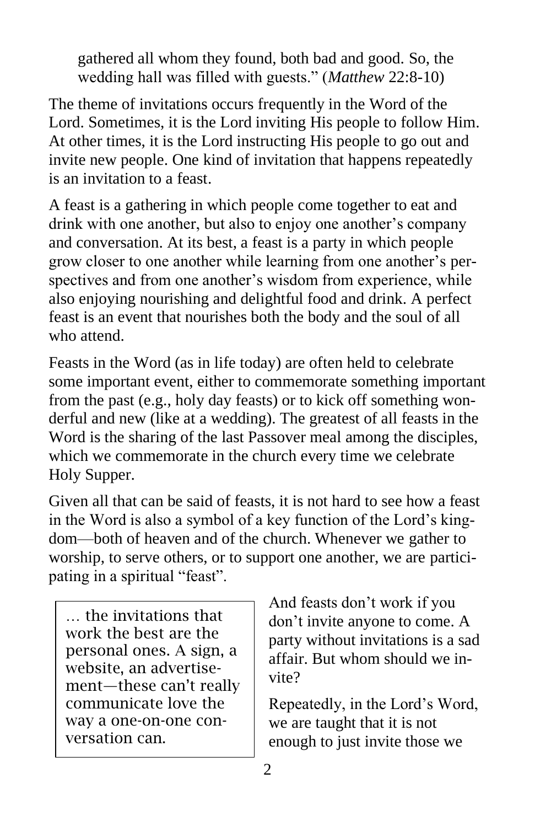gathered all whom they found, both bad and good. So, the wedding hall was filled with guests." (*Matthew* 22:8-10)

The theme of invitations occurs frequently in the Word of the Lord. Sometimes, it is the Lord inviting His people to follow Him. At other times, it is the Lord instructing His people to go out and invite new people. One kind of invitation that happens repeatedly is an invitation to a feast.

A feast is a gathering in which people come together to eat and drink with one another, but also to enjoy one another's company and conversation. At its best, a feast is a party in which people grow closer to one another while learning from one another's perspectives and from one another's wisdom from experience, while also enjoying nourishing and delightful food and drink. A perfect feast is an event that nourishes both the body and the soul of all who attend.

Feasts in the Word (as in life today) are often held to celebrate some important event, either to commemorate something important from the past (e.g., holy day feasts) or to kick off something wonderful and new (like at a wedding). The greatest of all feasts in the Word is the sharing of the last Passover meal among the disciples, which we commemorate in the church every time we celebrate Holy Supper.

Given all that can be said of feasts, it is not hard to see how a feast in the Word is also a symbol of a key function of the Lord's kingdom—both of heaven and of the church. Whenever we gather to worship, to serve others, or to support one another, we are participating in a spiritual "feast".

… the invitations that work the best are the personal ones. A sign, a website, an advertisement—these can't really communicate love the way a one-on-one conversation can.

And feasts don't work if you don't invite anyone to come. A party without invitations is a sad affair. But whom should we invite?

Repeatedly, in the Lord's Word, we are taught that it is not enough to just invite those we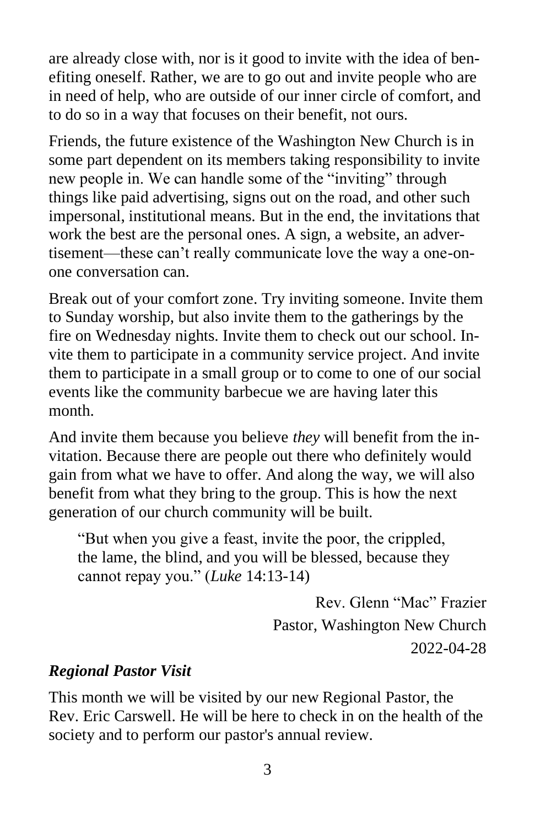are already close with, nor is it good to invite with the idea of benefiting oneself. Rather, we are to go out and invite people who are in need of help, who are outside of our inner circle of comfort, and to do so in a way that focuses on their benefit, not ours.

Friends, the future existence of the Washington New Church is in some part dependent on its members taking responsibility to invite new people in. We can handle some of the "inviting" through things like paid advertising, signs out on the road, and other such impersonal, institutional means. But in the end, the invitations that work the best are the personal ones. A sign, a website, an advertisement—these can't really communicate love the way a one-onone conversation can.

Break out of your comfort zone. Try inviting someone. Invite them to Sunday worship, but also invite them to the gatherings by the fire on Wednesday nights. Invite them to check out our school. Invite them to participate in a community service project. And invite them to participate in a small group or to come to one of our social events like the community barbecue we are having later this month.

And invite them because you believe *they* will benefit from the invitation. Because there are people out there who definitely would gain from what we have to offer. And along the way, we will also benefit from what they bring to the group. This is how the next generation of our church community will be built.

"But when you give a feast, invite the poor, the crippled, the lame, the blind, and you will be blessed, because they cannot repay you." (*Luke* 14:13-14)

> Rev. Glenn "Mac" Frazier Pastor, Washington New Church 2022-04-28

#### *Regional Pastor Visit*

This month we will be visited by our new Regional Pastor, the Rev. Eric Carswell. He will be here to check in on the health of the society and to perform our pastor's annual review.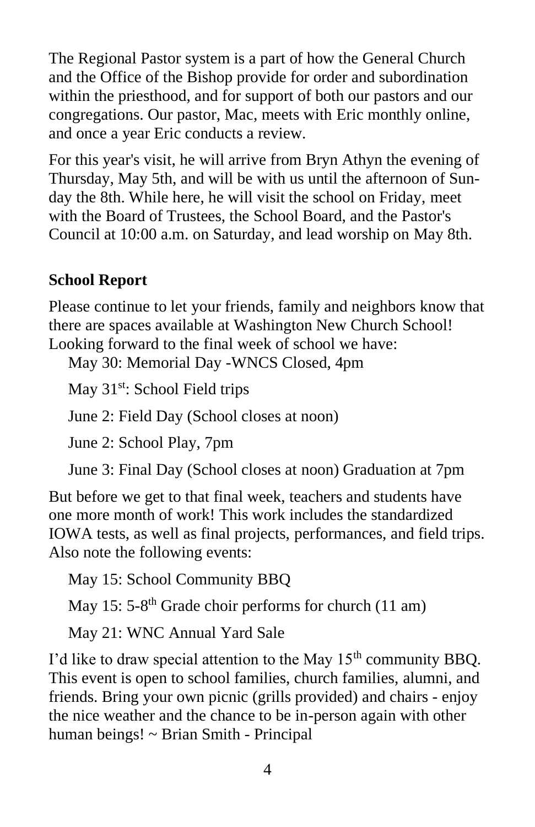The Regional Pastor system is a part of how the General Church and the Office of the Bishop provide for order and subordination within the priesthood, and for support of both our pastors and our congregations. Our pastor, Mac, meets with Eric monthly online, and once a year Eric conducts a review.

For this year's visit, he will arrive from Bryn Athyn the evening of Thursday, May 5th, and will be with us until the afternoon of Sunday the 8th. While here, he will visit the school on Friday, meet with the Board of Trustees, the School Board, and the Pastor's Council at 10:00 a.m. on Saturday, and lead worship on May 8th.

### **School Report**

Please continue to let your friends, family and neighbors know that there are spaces available at Washington New Church School! Looking forward to the final week of school we have:

May 30: Memorial Day -WNCS Closed, 4pm

May 31<sup>st</sup>: School Field trips

June 2: Field Day (School closes at noon)

June 2: School Play, 7pm

June 3: Final Day (School closes at noon) Graduation at 7pm

But before we get to that final week, teachers and students have one more month of work! This work includes the standardized IOWA tests, as well as final projects, performances, and field trips. Also note the following events:

May 15: School Community BBQ

May 15: 5-8<sup>th</sup> Grade choir performs for church (11 am)

May 21: WNC Annual Yard Sale

I'd like to draw special attention to the May  $15<sup>th</sup>$  community BBQ. This event is open to school families, church families, alumni, and friends. Bring your own picnic (grills provided) and chairs - enjoy the nice weather and the chance to be in-person again with other human beings! ~ Brian Smith - Principal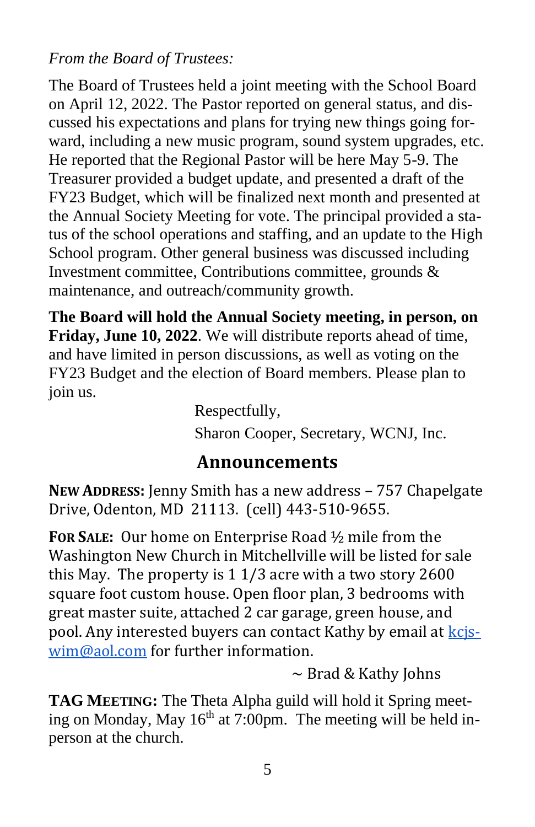#### *From the Board of Trustees:*

The Board of Trustees held a joint meeting with the School Board on April 12, 2022. The Pastor reported on general status, and discussed his expectations and plans for trying new things going forward, including a new music program, sound system upgrades, etc. He reported that the Regional Pastor will be here May 5-9. The Treasurer provided a budget update, and presented a draft of the FY23 Budget, which will be finalized next month and presented at the Annual Society Meeting for vote. The principal provided a status of the school operations and staffing, and an update to the High School program. Other general business was discussed including Investment committee, Contributions committee, grounds & maintenance, and outreach/community growth.

**The Board will hold the Annual Society meeting, in person, on Friday, June 10, 2022**. We will distribute reports ahead of time, and have limited in person discussions, as well as voting on the FY23 Budget and the election of Board members. Please plan to join us.

Respectfully, Sharon Cooper, Secretary, WCNJ, Inc.

#### **Announcements**

**NEW ADDRESS:** Jenny Smith has a new address – 757 Chapelgate Drive, Odenton, MD 21113. (cell) 443-510-9655.

**FOR SALE:** Our home on Enterprise Road ½ mile from the Washington New Church in Mitchellville will be listed for sale this May. The property is 1 1/3 acre with a two story 2600 square foot custom house. Open floor plan, 3 bedrooms with great master suite, attached 2 car garage, green house, and pool. Any interested buyers can contact Kathy by email at kcis[wim@aol.com](mailto:kcjswim@aol.com) for further information.

 $\sim$  Brad & Kathy Johns

**TAG MEETING:** The Theta Alpha guild will hold it Spring meeting on Monday, May  $16<sup>th</sup>$  at 7:00pm. The meeting will be held inperson at the church.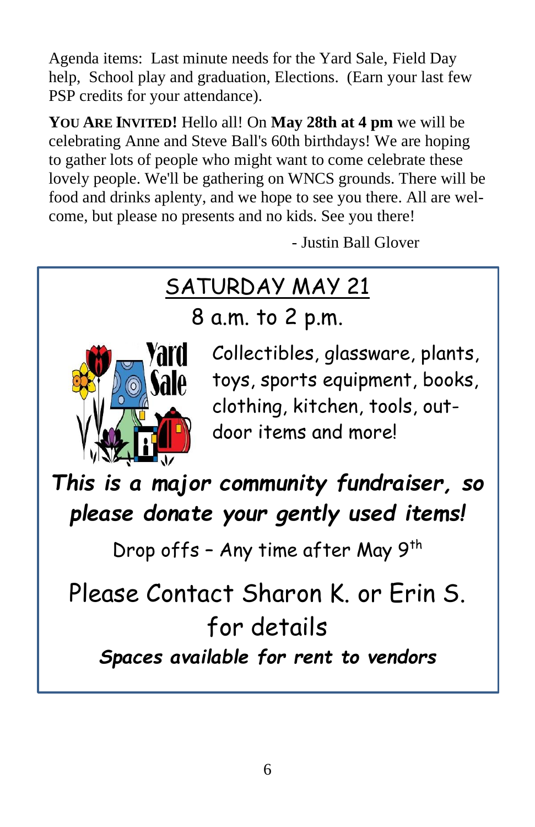Agenda items: Last minute needs for the Yard Sale, Field Day help, School play and graduation, Elections. (Earn your last few PSP credits for your attendance).

**YOU ARE INVITED!** Hello all! On **May 28th at 4 pm** we will be celebrating Anne and Steve Ball's 60th birthdays! We are hoping to gather lots of people who might want to come celebrate these lovely people. We'll be gathering on WNCS grounds. There will be food and drinks aplenty, and we hope to see you there. All are welcome, but please no presents and no kids. See you there!

- Justin Ball Glover

# SATURDAY MAY 21

8 a.m. to 2 p.m.



Collectibles, glassware, plants, toys, sports equipment, books, clothing, kitchen, tools, outdoor items and more!

*This is a major community fundraiser, so please donate your gently used items!* 

Drop offs - Any time after May 9<sup>th</sup>

Please Contact Sharon K. or Erin S. for details *Spaces available for rent to vendors*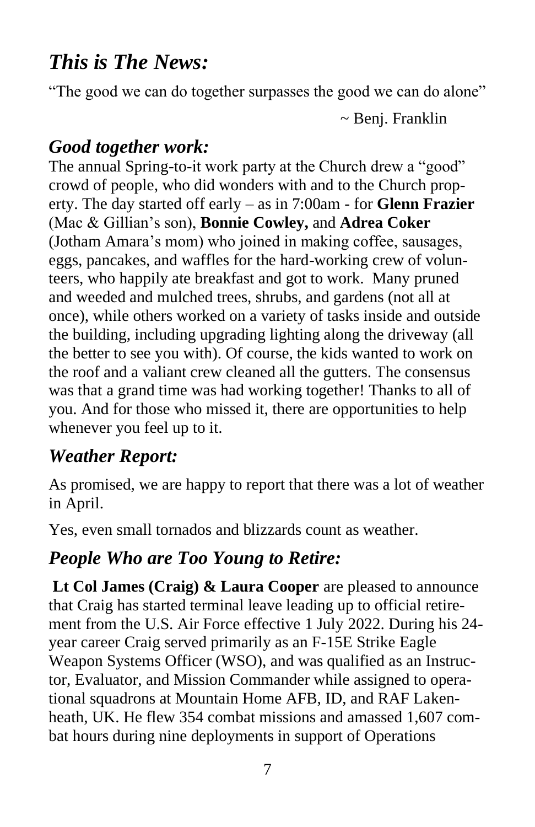# *This is The News:*

"The good we can do together surpasses the good we can do alone"

~ Benj. Franklin

## *Good together work:*

The annual Spring-to-it work party at the Church drew a "good" crowd of people, who did wonders with and to the Church property. The day started off early – as in 7:00am - for **Glenn Frazier** (Mac & Gillian's son), **Bonnie Cowley,** and **Adrea Coker** (Jotham Amara's mom) who joined in making coffee, sausages, eggs, pancakes, and waffles for the hard-working crew of volunteers, who happily ate breakfast and got to work. Many pruned and weeded and mulched trees, shrubs, and gardens (not all at once), while others worked on a variety of tasks inside and outside the building, including upgrading lighting along the driveway (all the better to see you with). Of course, the kids wanted to work on the roof and a valiant crew cleaned all the gutters. The consensus was that a grand time was had working together! Thanks to all of you. And for those who missed it, there are opportunities to help whenever you feel up to it.

## *Weather Report:*

As promised, we are happy to report that there was a lot of weather in April.

Yes, even small tornados and blizzards count as weather.

## *People Who are Too Young to Retire:*

**Lt Col James (Craig) & Laura Cooper** are pleased to announce that Craig has started terminal leave leading up to official retirement from the U.S. Air Force effective 1 July 2022. During his 24 year career Craig served primarily as an F-15E Strike Eagle Weapon Systems Officer (WSO), and was qualified as an Instructor, Evaluator, and Mission Commander while assigned to operational squadrons at Mountain Home AFB, ID, and RAF Lakenheath, UK. He flew 354 combat missions and amassed 1,607 combat hours during nine deployments in support of Operations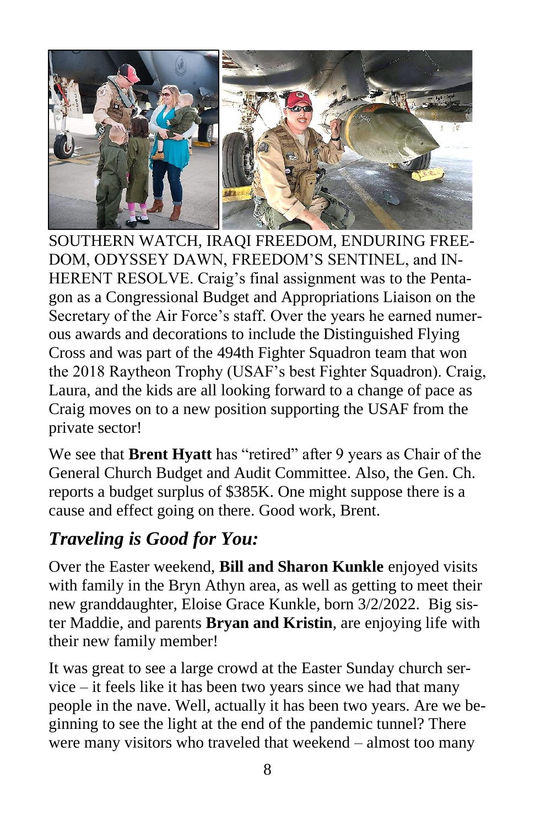

SOUTHERN WATCH, IRAQI FREEDOM, ENDURING FREE-DOM, ODYSSEY DAWN, FREEDOM'S SENTINEL, and IN-HERENT RESOLVE. Craig's final assignment was to the Pentagon as a Congressional Budget and Appropriations Liaison on the Secretary of the Air Force's staff. Over the years he earned numerous awards and decorations to include the Distinguished Flying Cross and was part of the 494th Fighter Squadron team that won the 2018 Raytheon Trophy (USAF's best Fighter Squadron). Craig, Laura, and the kids are all looking forward to a change of pace as Craig moves on to a new position supporting the USAF from the private sector!

We see that **Brent Hyatt** has "retired" after 9 years as Chair of the General Church Budget and Audit Committee. Also, the Gen. Ch. reports a budget surplus of \$385K. One might suppose there is a cause and effect going on there. Good work, Brent.

# *Traveling is Good for You:*

Over the Easter weekend, **Bill and Sharon Kunkle** enjoyed visits with family in the Bryn Athyn area, as well as getting to meet their new granddaughter, Eloise Grace Kunkle, born 3/2/2022. Big sister Maddie, and parents **Bryan and Kristin**, are enjoying life with their new family member!

It was great to see a large crowd at the Easter Sunday church service – it feels like it has been two years since we had that many people in the nave. Well, actually it has been two years. Are we beginning to see the light at the end of the pandemic tunnel? There were many visitors who traveled that weekend – almost too many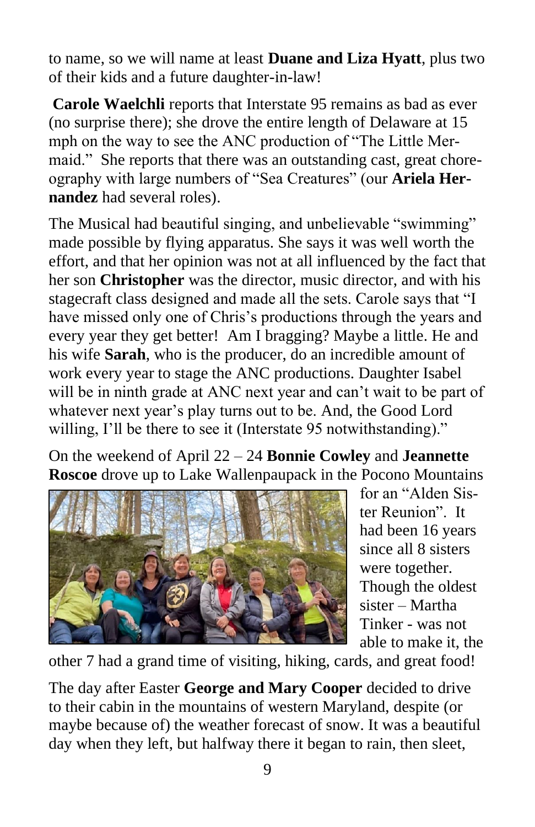to name, so we will name at least **Duane and Liza Hyatt**, plus two of their kids and a future daughter-in-law!

**Carole Waelchli** reports that Interstate 95 remains as bad as ever (no surprise there); she drove the entire length of Delaware at 15 mph on the way to see the ANC production of "The Little Mermaid." She reports that there was an outstanding cast, great choreography with large numbers of "Sea Creatures" (our **Ariela Hernandez** had several roles).

The Musical had beautiful singing, and unbelievable "swimming" made possible by flying apparatus. She says it was well worth the effort, and that her opinion was not at all influenced by the fact that her son **Christopher** was the director, music director, and with his stagecraft class designed and made all the sets. Carole says that "I have missed only one of Chris's productions through the years and every year they get better! Am I bragging? Maybe a little. He and his wife **Sarah**, who is the producer, do an incredible amount of work every year to stage the ANC productions. Daughter Isabel will be in ninth grade at ANC next year and can't wait to be part of whatever next year's play turns out to be. And, the Good Lord willing, I'll be there to see it (Interstate 95 notwithstanding)."

On the weekend of April 22 – 24 **Bonnie Cowley** and **Jeannette Roscoe** drove up to Lake Wallenpaupack in the Pocono Mountains



for an "Alden Sister Reunion". It had been 16 years since all 8 sisters were together. Though the oldest sister – Martha Tinker - was not able to make it, the

other 7 had a grand time of visiting, hiking, cards, and great food!

The day after Easter **George and Mary Cooper** decided to drive to their cabin in the mountains of western Maryland, despite (or maybe because of) the weather forecast of snow. It was a beautiful day when they left, but halfway there it began to rain, then sleet,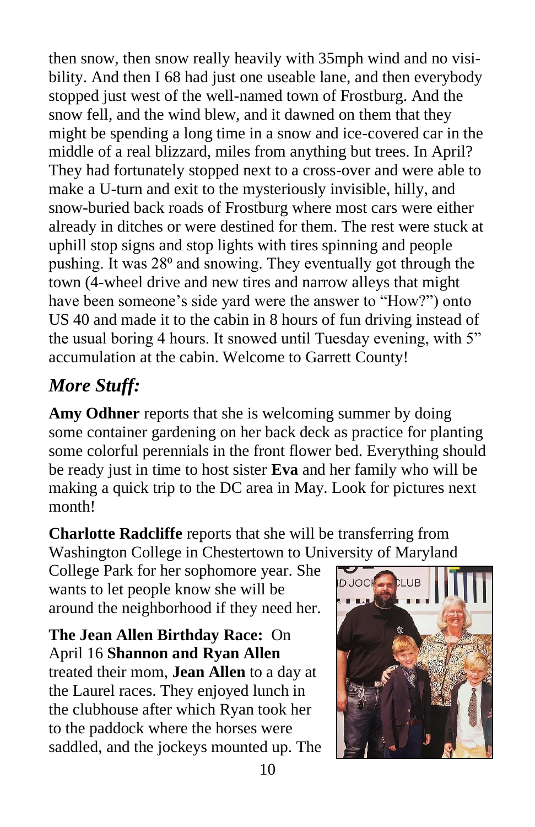then snow, then snow really heavily with 35mph wind and no visibility. And then I 68 had just one useable lane, and then everybody stopped just west of the well-named town of Frostburg. And the snow fell, and the wind blew, and it dawned on them that they might be spending a long time in a snow and ice-covered car in the middle of a real blizzard, miles from anything but trees. In April? They had fortunately stopped next to a cross-over and were able to make a U-turn and exit to the mysteriously invisible, hilly, and snow-buried back roads of Frostburg where most cars were either already in ditches or were destined for them. The rest were stuck at uphill stop signs and stop lights with tires spinning and people pushing. It was 28<sup>°</sup> and snowing. They eventually got through the town (4-wheel drive and new tires and narrow alleys that might have been someone's side yard were the answer to "How?") onto US 40 and made it to the cabin in 8 hours of fun driving instead of the usual boring 4 hours. It snowed until Tuesday evening, with 5" accumulation at the cabin. Welcome to Garrett County!

# *More Stuff:*

**Amy Odhner** reports that she is welcoming summer by doing some container gardening on her back deck as practice for planting some colorful perennials in the front flower bed. Everything should be ready just in time to host sister **Eva** and her family who will be making a quick trip to the DC area in May. Look for pictures next month!

**Charlotte Radcliffe** reports that she will be transferring from Washington College in Chestertown to University of Maryland

College Park for her sophomore year. She wants to let people know she will be around the neighborhood if they need her.

**The Jean Allen Birthday Race:** On April 16 **Shannon and Ryan Allen** treated their mom, **Jean Allen** to a day at the Laurel races. They enjoyed lunch in the clubhouse after which Ryan took her to the paddock where the horses were saddled, and the jockeys mounted up. The

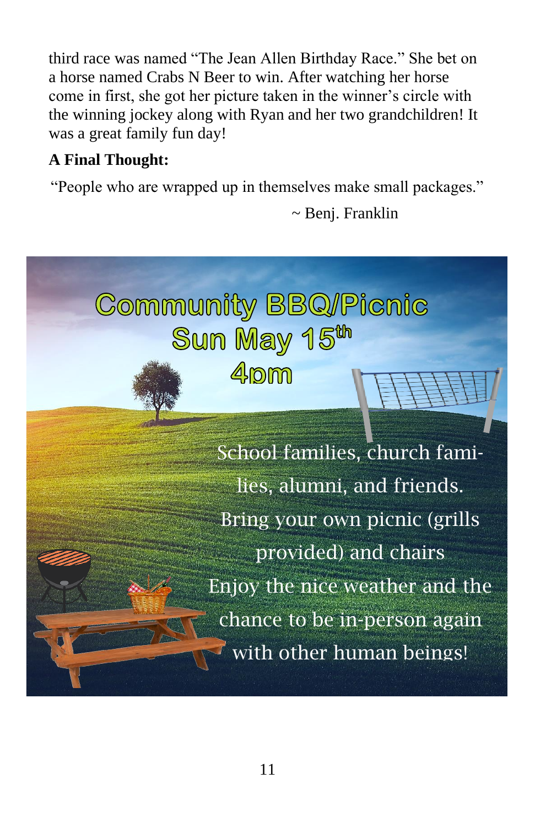third race was named "The Jean Allen Birthday Race." She bet on a horse named Crabs N Beer to win. After watching her horse come in first, she got her picture taken in the winner's circle with the winning jockey along with Ryan and her two grandchildren! It was a great family fun day!

#### **A Final Thought:**

"People who are wrapped up in themselves make small packages."

~ Benj. Franklin